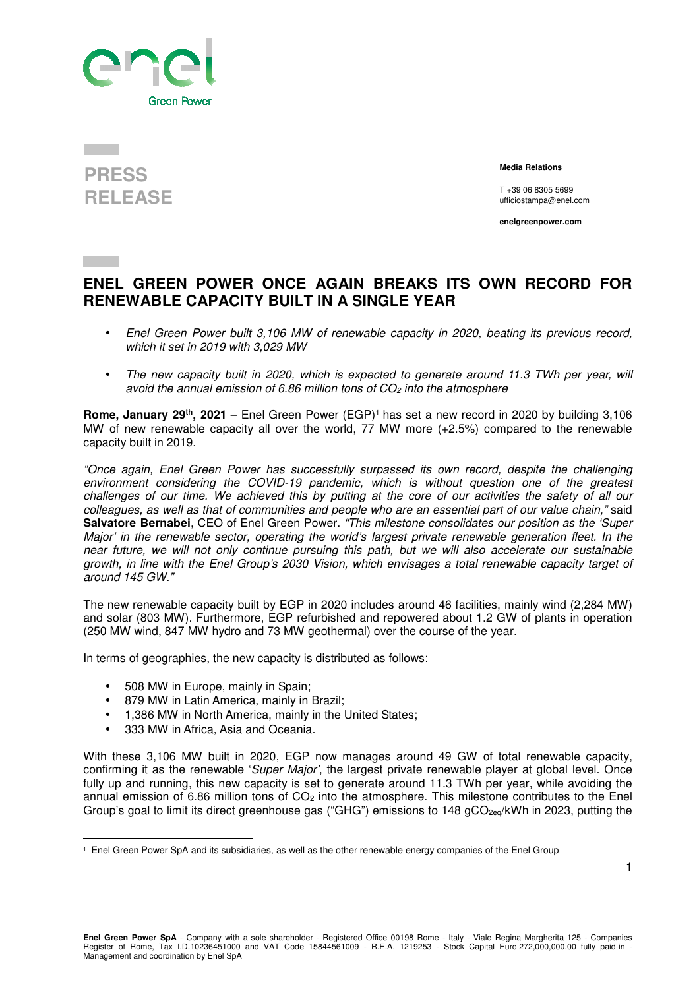

## **PRESS RELEASE**

 **Media Relations** 

T +39 06 8305 5699 ufficiostampa@enel.com

**enelgreenpower.com**

## **ENEL GREEN POWER ONCE AGAIN BREAKS ITS OWN RECORD FOR RENEWABLE CAPACITY BUILT IN A SINGLE YEAR**

- Enel Green Power built 3,106 MW of renewable capacity in 2020, beating its previous record, which it set in 2019 with 3,029 MW
- The new capacity built in 2020, which is expected to generate around 11.3 TWh per year, will avoid the annual emission of 6.86 million tons of  $CO<sub>2</sub>$  into the atmosphere

**Rome, January 29th, 2021** – Enel Green Power (EGP)<sup>1</sup> has set a new record in 2020 by building 3,106 MW of new renewable capacity all over the world, 77 MW more (+2.5%) compared to the renewable capacity built in 2019.

"Once again, Enel Green Power has successfully surpassed its own record, despite the challenging environment considering the COVID-19 pandemic, which is without question one of the greatest challenges of our time. We achieved this by putting at the core of our activities the safety of all our colleagues, as well as that of communities and people who are an essential part of our value chain," said **Salvatore Bernabei**, CEO of Enel Green Power. "This milestone consolidates our position as the 'Super Major' in the renewable sector, operating the world's largest private renewable generation fleet. In the near future, we will not only continue pursuing this path, but we will also accelerate our sustainable growth, in line with the Enel Group's 2030 Vision, which envisages a total renewable capacity target of around 145 GW."

The new renewable capacity built by EGP in 2020 includes around 46 facilities, mainly wind (2,284 MW) and solar (803 MW). Furthermore, EGP refurbished and repowered about 1.2 GW of plants in operation (250 MW wind, 847 MW hydro and 73 MW geothermal) over the course of the year.

In terms of geographies, the new capacity is distributed as follows:

- 508 MW in Europe, mainly in Spain;
- 879 MW in Latin America, mainly in Brazil;
- 1.386 MW in North America, mainly in the United States:
- 333 MW in Africa, Asia and Oceania.

 $\overline{a}$ 

With these 3,106 MW built in 2020, EGP now manages around 49 GW of total renewable capacity, confirming it as the renewable 'Super Major', the largest private renewable player at global level. Once fully up and running, this new capacity is set to generate around 11.3 TWh per year, while avoiding the annual emission of 6.86 million tons of CO<sub>2</sub> into the atmosphere. This milestone contributes to the Enel Group's goal to limit its direct greenhouse gas ("GHG") emissions to 148  $qCO<sub>2eq</sub>/kWh$  in 2023, putting the

<sup>&</sup>lt;sup>1</sup> Enel Green Power SpA and its subsidiaries, as well as the other renewable energy companies of the Enel Group